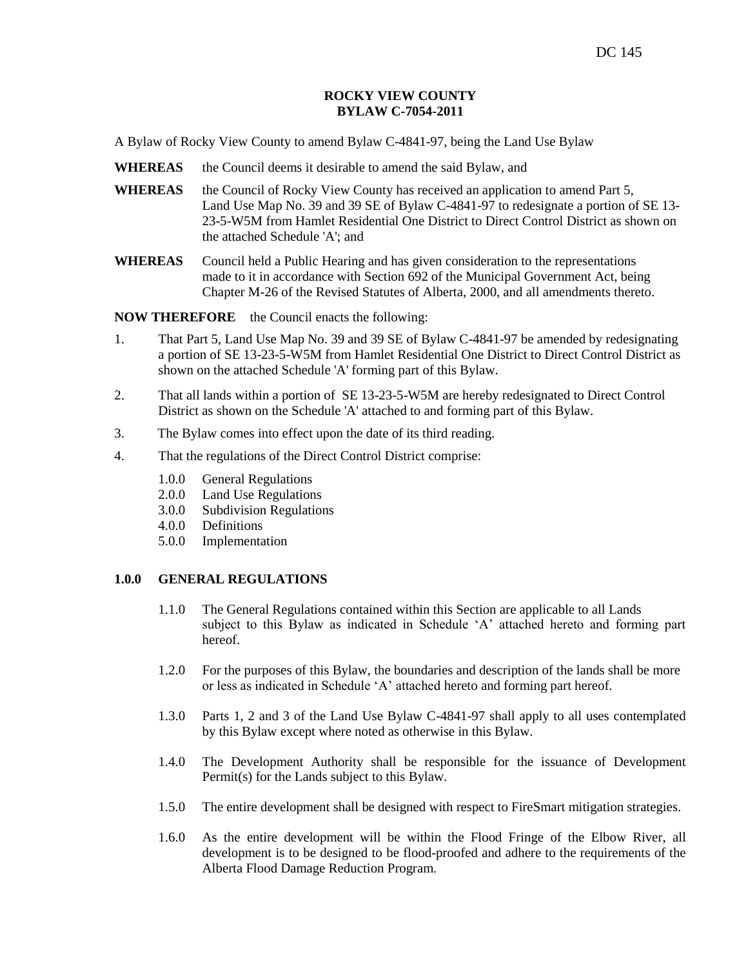## **ROCKY VIEW COUNTY BYLAW C-7054-2011**

A Bylaw of Rocky View County to amend Bylaw C-4841-97, being the Land Use Bylaw

- **WHEREAS** the Council deems it desirable to amend the said Bylaw, and
- WHEREAS the Council of Rocky View County has received an application to amend Part 5, Land Use Map No. 39 and 39 SE of Bylaw C-4841-97 to redesignate a portion of SE 13- 23-5-W5M from Hamlet Residential One District to Direct Control District as shown on the attached Schedule 'A'; and
- **WHEREAS** Council held a Public Hearing and has given consideration to the representations made to it in accordance with Section 692 of the Municipal Government Act, being Chapter M-26 of the Revised Statutes of Alberta, 2000, and all amendments thereto.

**NOW THEREFORE** the Council enacts the following:

- 1. That Part 5, Land Use Map No. 39 and 39 SE of Bylaw C-4841-97 be amended by redesignating a portion of SE 13-23-5-W5M from Hamlet Residential One District to Direct Control District as shown on the attached Schedule 'A' forming part of this Bylaw.
- 2. That all lands within a portion of SE 13-23-5-W5M are hereby redesignated to Direct Control District as shown on the Schedule 'A' attached to and forming part of this Bylaw.
- 3. The Bylaw comes into effect upon the date of its third reading.
- 4. That the regulations of the Direct Control District comprise:
	- 1.0.0 General Regulations
	- 2.0.0 Land Use Regulations
	- 3.0.0 Subdivision Regulations
	- 4.0.0 Definitions
	- 5.0.0 Implementation

# **1.0.0 GENERAL REGULATIONS**

- 1.1.0 The General Regulations contained within this Section are applicable to all Lands subject to this Bylaw as indicated in Schedule "A" attached hereto and forming part hereof.
- 1.2.0 For the purposes of this Bylaw, the boundaries and description of the lands shall be more or less as indicated in Schedule "A" attached hereto and forming part hereof.
- 1.3.0 Parts 1, 2 and 3 of the Land Use Bylaw C-4841-97 shall apply to all uses contemplated by this Bylaw except where noted as otherwise in this Bylaw.
- 1.4.0 The Development Authority shall be responsible for the issuance of Development Permit(s) for the Lands subject to this Bylaw.
- 1.5.0 The entire development shall be designed with respect to FireSmart mitigation strategies.
- 1.6.0 As the entire development will be within the Flood Fringe of the Elbow River, all development is to be designed to be flood-proofed and adhere to the requirements of the Alberta Flood Damage Reduction Program.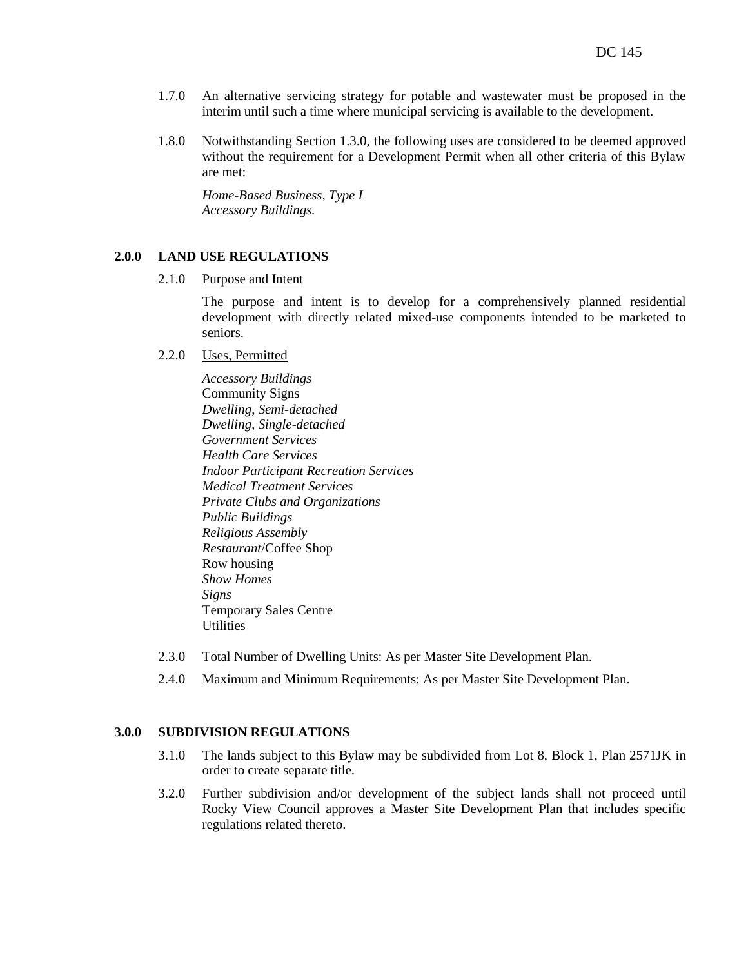- 1.7.0 An alternative servicing strategy for potable and wastewater must be proposed in the interim until such a time where municipal servicing is available to the development.
- 1.8.0 Notwithstanding Section 1.3.0, the following uses are considered to be deemed approved without the requirement for a Development Permit when all other criteria of this Bylaw are met:

*Home-Based Business, Type I Accessory Buildings.*

## **2.0.0 LAND USE REGULATIONS**

2.1.0 Purpose and Intent

The purpose and intent is to develop for a comprehensively planned residential development with directly related mixed-use components intended to be marketed to seniors.

- 2.2.0 Uses, Permitted
	- *Accessory Buildings*  Community Signs *Dwelling*, *Semi-detached Dwelling*, *Single-detached Government Services Health Care Services Indoor Participant Recreation Services Medical Treatment Services Private Clubs and Organizations Public Buildings Religious Assembly Restaurant*/Coffee Shop Row housing *Show Homes Signs* Temporary Sales Centre **Utilities**
- 2.3.0 Total Number of Dwelling Units: As per Master Site Development Plan.
- 2.4.0 Maximum and Minimum Requirements: As per Master Site Development Plan.

## **3.0.0 SUBDIVISION REGULATIONS**

- 3.1.0 The lands subject to this Bylaw may be subdivided from Lot 8, Block 1, Plan 2571JK in order to create separate title.
- 3.2.0 Further subdivision and/or development of the subject lands shall not proceed until Rocky View Council approves a Master Site Development Plan that includes specific regulations related thereto.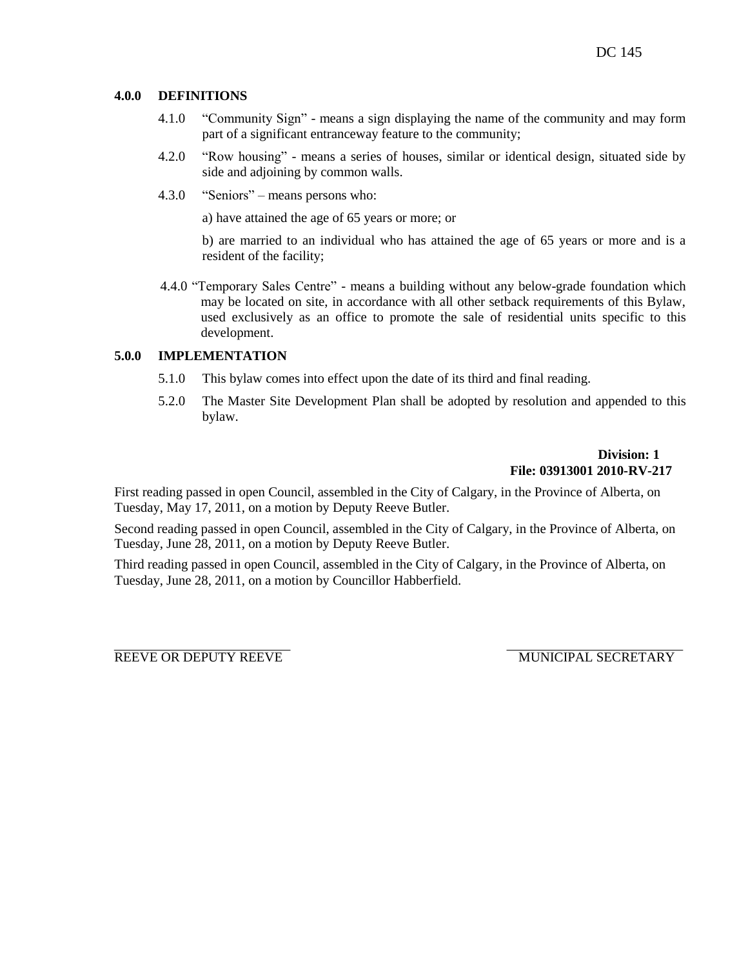## **4.0.0 DEFINITIONS**

- 4.1.0 "Community Sign" means a sign displaying the name of the community and may form part of a significant entranceway feature to the community;
- 4.2.0 "Row housing" means a series of houses, similar or identical design, situated side by side and adjoining by common walls.
- 4.3.0 "Seniors" means persons who:

a) have attained the age of 65 years or more; or

b) are married to an individual who has attained the age of 65 years or more and is a resident of the facility;

4.4.0 "Temporary Sales Centre" - means a building without any below-grade foundation which may be located on site, in accordance with all other setback requirements of this Bylaw, used exclusively as an office to promote the sale of residential units specific to this development.

# **5.0.0 IMPLEMENTATION**

- 5.1.0 This bylaw comes into effect upon the date of its third and final reading.
- 5.2.0 The Master Site Development Plan shall be adopted by resolution and appended to this bylaw.

# **Division: 1 File: 03913001 2010-RV-217**

First reading passed in open Council, assembled in the City of Calgary, in the Province of Alberta, on Tuesday, May 17, 2011, on a motion by Deputy Reeve Butler.

Second reading passed in open Council, assembled in the City of Calgary, in the Province of Alberta, on Tuesday, June 28, 2011, on a motion by Deputy Reeve Butler.

Third reading passed in open Council, assembled in the City of Calgary, in the Province of Alberta, on Tuesday, June 28, 2011, on a motion by Councillor Habberfield.

REEVE OR DEPUTY REEVE MUNICIPAL SECRETARY